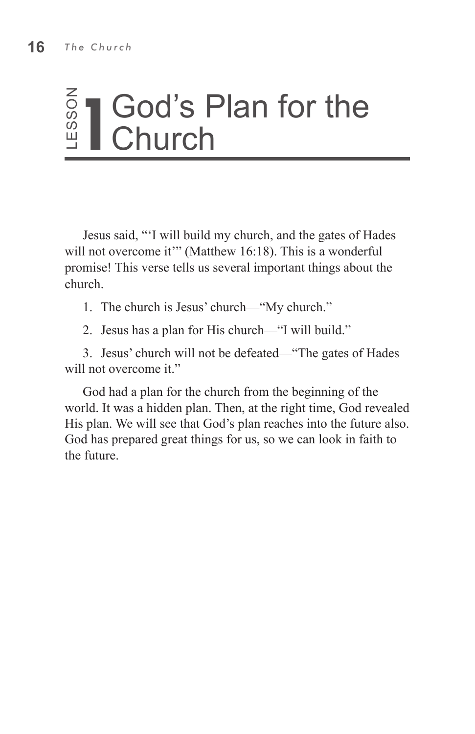# ESSON God's Plan for the **Church**

Jesus said, "'I will build my church, and the gates of Hades will not overcome it"" (Matthew 16:18). This is a wonderful promise! This verse tells us several important things about the church.

1. The church is Jesus' church—"My church."

2. Jesus has a plan for His church—"I will build."

3. Jesus' church will not be defeated—"The gates of Hades will not overcome it."

Example 1<br> **1**<br>
USON 1<br>
USON 1<br>
USON 1<br>
USON 1<br>
1<br>
1<br>
1<br>
1<br>
1<br>
1<br>
1<br>
Cod has p<br>
1<br>
USON 1<br>
USON 1<br>
USON 1<br>
USON 1<br>
USON 1<br>
USON 1<br>
USON 1<br>
USON 1<br>
USON 1<br>
USON 1<br>
USON 1<br>
USON 1<br>
USON 1<br>
USON 1<br>
USON 1<br>
USON 1<br>
USON 1<br>
USO God had a plan for the church from the beginning of the world. It was a hidden plan. Then, at the right time, God revealed His plan. We will see that God's plan reaches into the future also. God has prepared great things for us, so we can look in faith to the future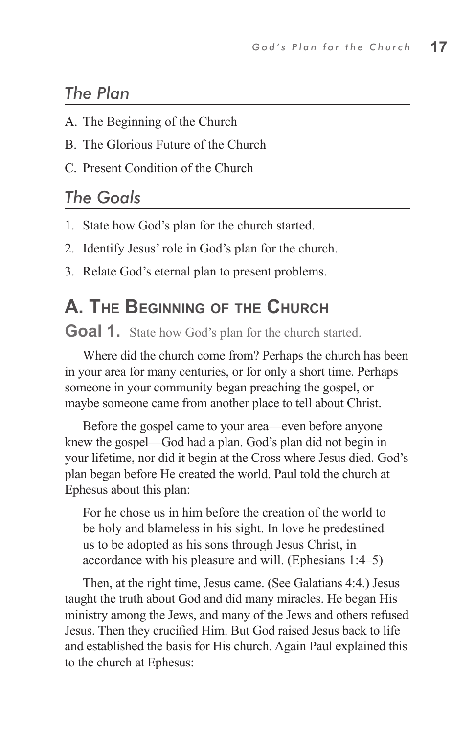## *The Plan*

- A. The Beginning of the Church
- B. The Glorious Future of the Church
- C. Present Condition of the Church

#### *The Goals*

- 1. State how God's plan for the church started.
- 2. Identify Jesus' role in God's plan for the church.
- 3. Relate God's eternal plan to present problems.

## **A. The Beginning of the Church**

Goal 1. State how God's plan for the church started.

Where did the church come from? Perhaps the church has been in your area for many centuries, or for only a short time. Perhaps someone in your community began preaching the gospel, or maybe someone came from another place to tell about Christ.

Before the gospel came to your area—even before anyone knew the gospel—God had a plan. God's plan did not begin in your lifetime, nor did it begin at the Cross where Jesus died. God's plan began before He created the world. Paul told the church at Ephesus about this plan:

For he chose us in him before the creation of the world to be holy and blameless in his sight. In love he predestined us to be adopted as his sons through Jesus Christ, in accordance with his pleasure and will. (Ephesians 1:4–5)

Then, at the right time, Jesus came. (See Galatians 4:4.) Jesus taught the truth about God and did many miracles. He began His ministry among the Jews, and many of the Jews and others refused Jesus. Then they crucified Him. But God raised Jesus back to life and established the basis for His church. Again Paul explained this to the church at Ephesus: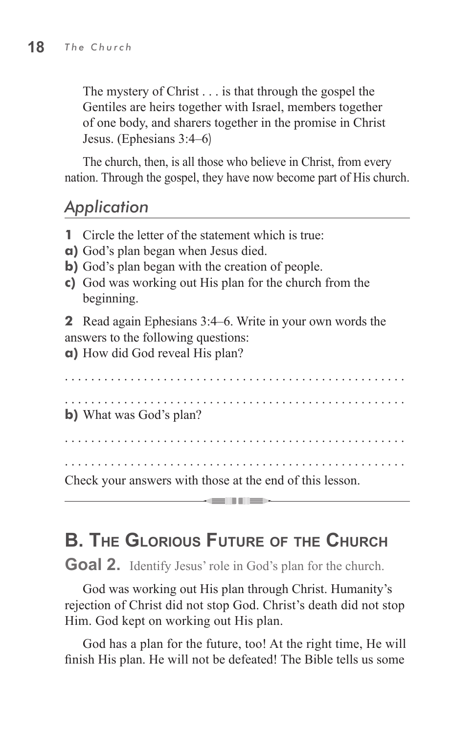The mystery of Christ . . . is that through the gospel the Gentiles are heirs together with Israel, members together of one body, and sharers together in the promise in Christ Jesus. (Ephesians 3:4–6)

The church, then, is all those who believe in Christ, from every nation. Through the gospel, they have now become part of His church.

#### *Application*

- **1** Circle the letter of the statement which is true:
- **a)** God's plan began when Jesus died.
- **b**) God's plan began with the creation of people.
- **c)** God was working out His plan for the church from the beginning.
- **2** Read again Ephesians 3:4–6. Write in your own words the answers to the following questions:
- **a)** How did God reveal His plan?

. . . . . . . . . . . . . . . . . . . . . . . . . . . . . . . . . . . . . . . . . . . . . . . . . . . . . . . . . . . . . . . . . . . . . . . . . . . . . . . . . . . . . . . . . . . . . . . . . . . . . . . . **b**) What was God's plan? . . . . . . . . . . . . . . . . . . . . . . . . . . . . . . . . . . . . . . . . . . . . . . . . . . . . . . . . . . . . . . . . . . . . . . . . . . . . . . . . . . . . . . . . . . . . . . . . . . . . . . . .

Check your answers with those at the end of this lesson.

## **B. The Glorious Future of the Church**

**Goal 2.** Identify Jesus' role in God's plan for the church.

God was working out His plan through Christ. Humanity's rejection of Christ did not stop God. Christ's death did not stop Him. God kept on working out His plan.

God has a plan for the future, too! At the right time, He will finish His plan. He will not be defeated! The Bible tells us some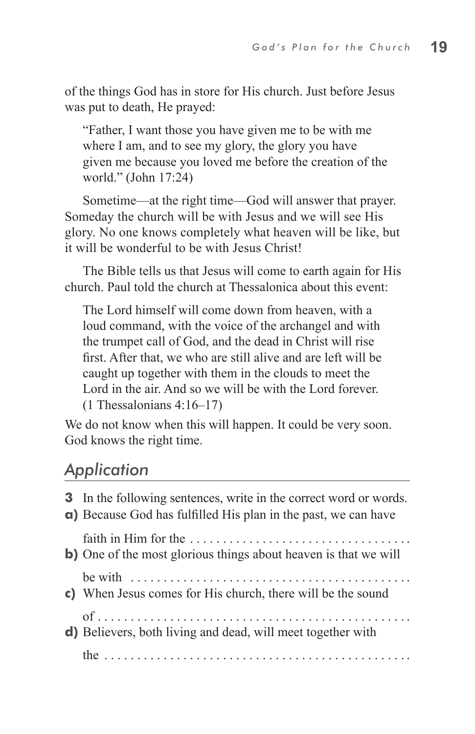of the things God has in store for His church. Just before Jesus was put to death, He prayed:

"Father, I want those you have given me to be with me where I am, and to see my glory, the glory you have given me because you loved me before the creation of the world." (John 17:24)

Sometime—at the right time—God will answer that prayer. Someday the church will be with Jesus and we will see His glory. No one knows completely what heaven will be like, but it will be wonderful to be with Jesus Christ!

The Bible tells us that Jesus will come to earth again for His church. Paul told the church at Thessalonica about this event:

The Lord himself will come down from heaven, with a loud command, with the voice of the archangel and with the trumpet call of God, and the dead in Christ will rise first. After that, we who are still alive and are left will be caught up together with them in the clouds to meet the Lord in the air. And so we will be with the Lord forever. (1 Thessalonians 4:16–17)

We do not know when this will happen. It could be very soon. God knows the right time.

#### *Application*

| 3 In the following sentences, write in the correct word or words.<br>a) Because God has fulfilled His plan in the past, we can have                      |
|----------------------------------------------------------------------------------------------------------------------------------------------------------|
| faith in Him for the $\ldots \ldots \ldots \ldots \ldots \ldots \ldots \ldots \ldots$<br>b) One of the most glorious things about heaven is that we will |
| c) When Jesus comes for His church, there will be the sound                                                                                              |
| <b>d</b> ) Believers, both living and dead, will meet together with                                                                                      |
|                                                                                                                                                          |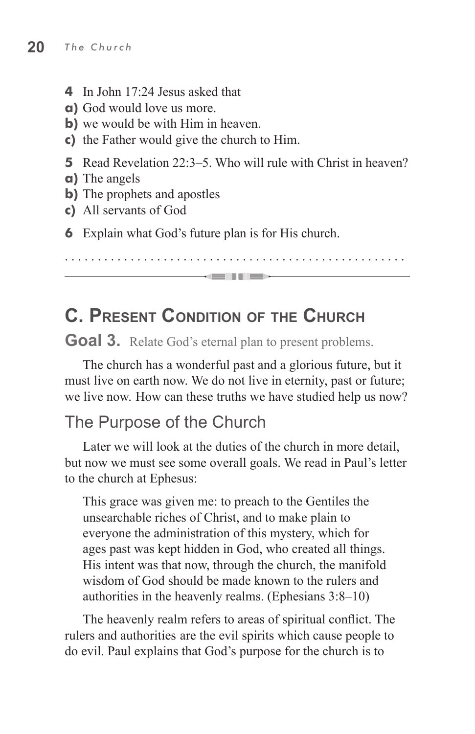- **4** In John 17:24 Jesus asked that
- **a)** God would love us more.
- **b**) we would be with Him in heaven.
- **c)** the Father would give the church to Him.
- **5** Read Revelation 22:3–5. Who will rule with Christ in heaven?

. . . . . . . . . . . . . . . . . . . . . . . . . . . . . . . . . . . . . . . . . . . . . . . . . . . .

-amil 11 m

- **a)** The angels
- **b)** The prophets and apostles
- **c)** All servants of God
- **6** Explain what God's future plan is for His church.

**C. Present Condition of the Church**

**Goal 3.** Relate God's eternal plan to present problems.

The church has a wonderful past and a glorious future, but it must live on earth now. We do not live in eternity, past or future; we live now. How can these truths we have studied help us now?

## The Purpose of the Church

Later we will look at the duties of the church in more detail, but now we must see some overall goals. We read in Paul's letter to the church at Ephesus:

This grace was given me: to preach to the Gentiles the unsearchable riches of Christ, and to make plain to everyone the administration of this mystery, which for ages past was kept hidden in God, who created all things. His intent was that now, through the church, the manifold wisdom of God should be made known to the rulers and authorities in the heavenly realms. (Ephesians 3:8–10)

The heavenly realm refers to areas of spiritual conflict. The rulers and authorities are the evil spirits which cause people to do evil. Paul explains that God's purpose for the church is to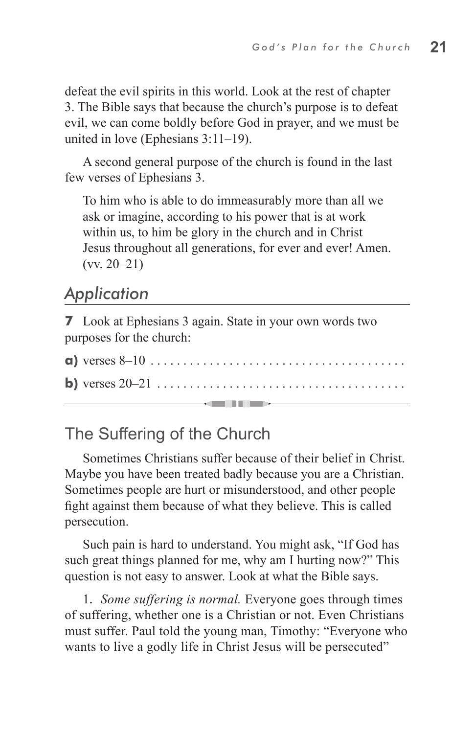defeat the evil spirits in this world. Look at the rest of chapter 3. The Bible says that because the church's purpose is to defeat evil, we can come boldly before God in prayer, and we must be united in love (Ephesians 3:11–19).

A second general purpose of the church is found in the last few verses of Ephesians 3.

To him who is able to do immeasurably more than all we ask or imagine, according to his power that is at work within us, to him be glory in the church and in Christ Jesus throughout all generations, for ever and ever! Amen.  $(vv. 20-21)$ 

#### *Application*

**7** Look at Ephesians 3 again. State in your own words two purposes for the church:

**a)** verses 8–10 **b)** verses 20–21

**KEIHER** 

## The Suffering of the Church

Sometimes Christians suffer because of their belief in Christ. Maybe you have been treated badly because you are a Christian. Sometimes people are hurt or misunderstood, and other people fight against them because of what they believe. This is called persecution.

Such pain is hard to understand. You might ask, "If God has such great things planned for me, why am I hurting now?" This question is not easy to answer. Look at what the Bible says.

1*. Some suffering is normal.* Everyone goes through times of suffering, whether one is a Christian or not. Even Christians must suffer. Paul told the young man, Timothy: "Everyone who wants to live a godly life in Christ Jesus will be persecuted"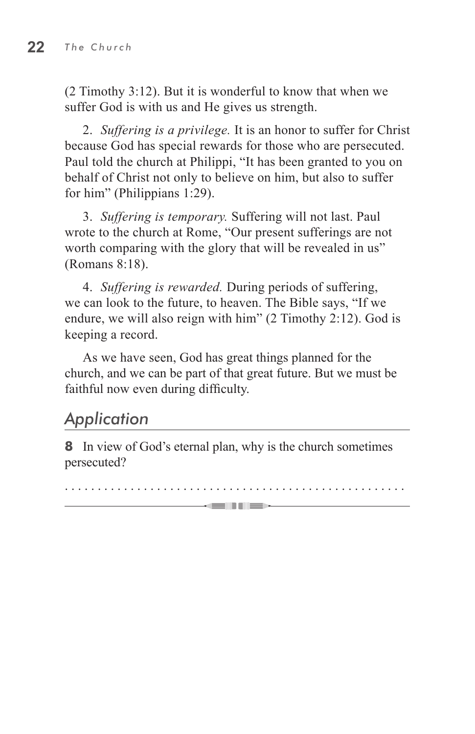(2 Timothy 3:12). But it is wonderful to know that when we suffer God is with us and He gives us strength.

2. *Suffering is a privilege.* It is an honor to suffer for Christ because God has special rewards for those who are persecuted. Paul told the church at Philippi, "It has been granted to you on behalf of Christ not only to believe on him, but also to suffer for him" (Philippians 1:29).

3. *Suffering is temporary.* Suffering will not last. Paul wrote to the church at Rome, "Our present sufferings are not worth comparing with the glory that will be revealed in us" (Romans 8:18).

4. *Suffering is rewarded.* During periods of suffering, we can look to the future, to heaven. The Bible says, "If we endure, we will also reign with him" (2 Timothy 2:12). God is keeping a record.

As we have seen, God has great things planned for the church, and we can be part of that great future. But we must be faithful now even during difficulty.

## *Application*

**8** In view of God's eternal plan, why is the church sometimes persecuted?

. . . . . . . . . . . . . . . . . . . . . . . . . . . . . . . . . . . . . . . . . . . . . . . . . . . . -----